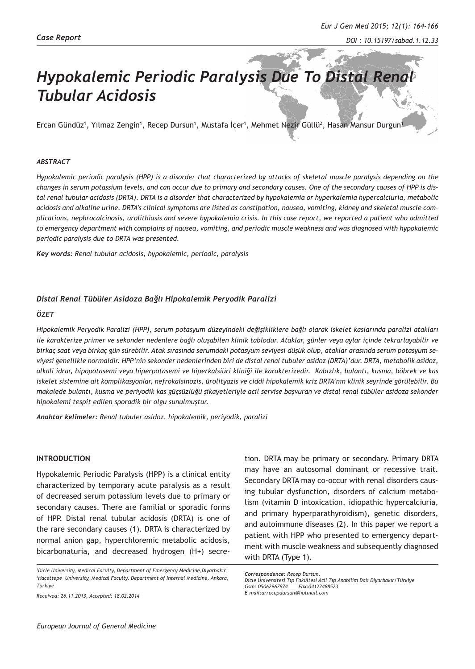# *Hypokalemic Periodic Paralysis Due To Distal Renal Tubular Acidosis*

Ercan Gündüz<sup>1</sup>, Yılmaz Zengin<sup>1</sup>, Recep Dursun<sup>1</sup>, Mustafa Içer<sup>1</sup>, Mehmet Nezir Güllü<sup>2</sup>, Hasan Mansur Durgun<sup>1</sup>

#### *ABSTRACT*

*Hypokalemic periodic paralysis (HPP) is a disorder that characterized by attacks of skeletal muscle paralysis depending on the changes in serum potassium levels, and can occur due to primary and secondary causes. One of the secondary causes of HPP is distal renal tubular acidosis (DRTA). DRTA is a disorder that characterized by hypokalemia or hyperkalemia hypercalciuria, metabolic acidosis and alkaline urine. DRTA's clinical symptoms are listed as constipation, nausea, vomiting, kidney and skeletal muscle complications, nephrocalcinosis, urolithiasis and severe hypokalemia crisis. In this case report, we reported a patient who admitted to emergency department with complains of nausea, vomiting, and periodic muscle weakness and was diagnosed with hypokalemic periodic paralysis due to DRTA was presented.*

*Key words: Renal tubular acidosis, hypokalemic, periodic, paralysis* 

#### *Distal Renal Tübüler Asidoza Bağlı Hipokalemik Peryodik Paralizi*

#### *ÖZET*

*Hipokalemik Peryodik Paralizi (HPP), serum potasyum düzeyindeki değişikliklere bağlı olarak iskelet kaslarında paralizi atakları ile karakterize primer ve sekonder nedenlere bağlı oluşabilen klinik tablodur. Ataklar, günler veya aylar içinde tekrarlayabilir ve birkaç saat veya birkaç gün sürebilir. Atak sırasında serumdaki potasyum seviyesi düşük olup, ataklar arasında serum potasyum seviyesi genellikle normaldir. HPP'nin sekonder nedenlerinden biri de distal renal tubuler asidoz (DRTA)'dur. DRTA, metabolik asidoz, alkali idrar, hipopotasemi veya hiperpotasemi ve hiperkalsiüri kliniği ile karakterizedir. Kabızlık, bulantı, kusma, böbrek ve kas iskelet sistemine ait komplikasyonlar, nefrokalsinozis, ürolityazis ve ciddi hipokalemik kriz DRTA'nın klinik seyrinde görülebilir. Bu makalede bulantı, kusma ve periyodik kas güçsüzlüğü şikayetleriyle acil servise başvuran ve distal renal tübüler asidoza sekonder hipokalemi tespit edilen sporadik bir olgu sunulmuştur.*

*Anahtar kelimeler: Renal tubuler asidoz, hipokalemik, periyodik, paralizi* 

#### **INTRODUCTION**

Hypokalemic Periodic Paralysis (HPP) is a clinical entity characterized by temporary acute paralysis as a result of decreased serum potassium levels due to primary or secondary causes. There are familial or sporadic forms of HPP. Distal renal tubular acidosis (DRTA) is one of the rare secondary causes (1). DRTA is characterized by normal anion gap, hyperchloremic metabolic acidosis, bicarbonaturia, and decreased hydrogen (H+) secre-

*Received: 26.11.2013, Accepted: 18.02.2014*

tion. DRTA may be primary or secondary. Primary DRTA may have an autosomal dominant or recessive trait. Secondary DRTA may co-occur with renal disorders causing tubular dysfunction, disorders of calcium metabolism (vitamin D intoxication, idiopathic hypercalciuria, and primary hyperparathyroidism), genetic disorders, and autoimmune diseases (2). In this paper we report a patient with HPP who presented to emergency department with muscle weakness and subsequently diagnosed with DRTA (Type 1).

*<sup>1</sup> Dicle University, Medical Faculty, Department of Emergency Medicine,Diyarbakır, 2 Hacettepe University, Medical Faculty, Department of Internal Medicine, Ankara, Türkiye*

*Correspondence: Recep Dursun,*

*Dicle Üniversitesi Tıp Fakültesi Acil Tıp Anabilim Dalı Diyarbakır/Türkiye Gsm: 05062967974 Fax:04122488523 E-mail:drrecepdursun@hotmail.com*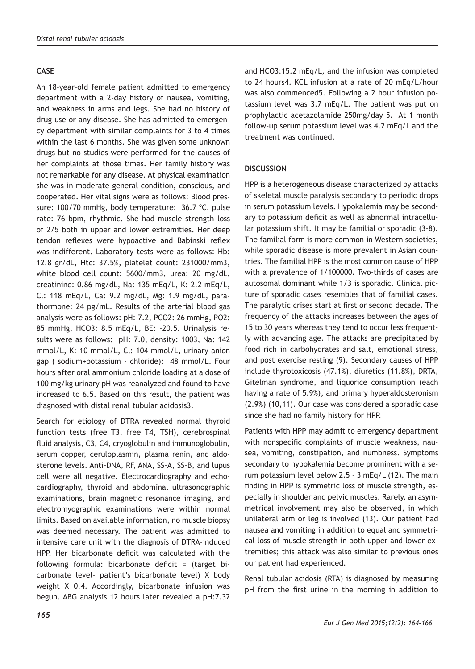# **CASE**

An 18-year-old female patient admitted to emergency department with a 2-day history of nausea, vomiting, and weakness in arms and legs. She had no history of drug use or any disease. She has admitted to emergency department with similar complaints for 3 to 4 times within the last 6 months. She was given some unknown drugs but no studies were performed for the causes of her complaints at those times. Her family history was not remarkable for any disease. At physical examination she was in moderate general condition, conscious, and cooperated. Her vital signs were as follows: Blood pressure: 100/70 mmHg, body temperature: 36.7 °C, pulse rate: 76 bpm, rhythmic. She had muscle strength loss of 2/5 both in upper and lower extremities. Her deep tendon reflexes were hypoactive and Babinski reflex was indifferent. Laboratory tests were as follows: Hb: 12.8 gr/dL, Htc: 37.5%, platelet count: 231000/mm3, white blood cell count: 5600/mm3, urea: 20 mg/dL, creatinine: 0.86 mg/dL, Na: 135 mEq/L, K: 2.2 mEq/L, Cl: 118 mEq/L, Ca: 9.2 mg/dL, Mg: 1.9 mg/dL, parathormone: 24 pg/mL. Results of the arterial blood gas analysis were as follows: pH: 7.2, PCO2: 26 mmHg, PO2: 85 mmHg, HCO3: 8.5 mEq/L, BE: -20.5. Urinalysis results were as follows: pH: 7.0, density: 1003, Na: 142 mmol/L, K: 10 mmol/L, Cl: 104 mmol/L, urinary anion gap ( sodium+potassium - chloride): 48 mmol/L. Four hours after oral ammonium chloride loading at a dose of 100 mg/kg urinary pH was reanalyzed and found to have increased to 6.5. Based on this result, the patient was diagnosed with distal renal tubular acidosis3.

Search for etiology of DTRA revealed normal thyroid function tests (free T3, free T4, TSH), cerebrospinal fluid analysis, C3, C4, cryoglobulin and immunoglobulin, serum copper, ceruloplasmin, plasma renin, and aldosterone levels. Anti-DNA, RF, ANA, SS-A, SS-B, and lupus cell were all negative. Electrocardiography and echocardiography, thyroid and abdominal ultrasonographic examinations, brain magnetic resonance imaging, and electromyographic examinations were within normal limits. Based on available information, no muscle biopsy was deemed necessary. The patient was admitted to intensive care unit with the diagnosis of DTRA-induced HPP. Her bicarbonate deficit was calculated with the following formula: bicarbonate deficit = (target bicarbonate level- patient's bicarbonate level) X body weight X 0.4. Accordingly, bicarbonate infusion was begun. ABG analysis 12 hours later revealed a pH:7.32

and HCO3:15.2 mEq/L, and the infusion was completed to 24 hours4. KCL infusion at a rate of 20 mEq/L/hour was also commenced5. Following a 2 hour infusion potassium level was 3.7 mEq/L. The patient was put on prophylactic acetazolamide 250mg/day 5. At 1 month follow-up serum potassium level was 4.2 mEq/L and the treatment was continued.

## **DISCUSSION**

HPP is a heterogeneous disease characterized by attacks of skeletal muscle paralysis secondary to periodic drops in serum potassium levels. Hypokalemia may be secondary to potassium deficit as well as abnormal intracellular potassium shift. It may be familial or sporadic (3-8). The familial form is more common in Western societies, while sporadic disease is more prevalent in Asian countries. The familial HPP is the most common cause of HPP with a prevalence of 1/100000. Two-thirds of cases are autosomal dominant while 1/3 is sporadic. Clinical picture of sporadic cases resembles that of familial cases. The paralytic crises start at first or second decade. The frequency of the attacks increases between the ages of 15 to 30 years whereas they tend to occur less frequently with advancing age. The attacks are precipitated by food rich in carbohydrates and salt, emotional stress, and post exercise resting (9). Secondary causes of HPP include thyrotoxicosis (47.1%), diuretics (11.8%), DRTA, Gitelman syndrome, and liquorice consumption (each having a rate of 5.9%), and primary hyperaldosteronism (2.9%) (10,11). Our case was considered a sporadic case since she had no family history for HPP.

Patients with HPP may admit to emergency department with nonspecific complaints of muscle weakness, nausea, vomiting, constipation, and numbness. Symptoms secondary to hypokalemia become prominent with a serum potassium level below 2.5 - 3 mEq/L (12). The main finding in HPP is symmetric loss of muscle strength, especially in shoulder and pelvic muscles. Rarely, an asymmetrical involvement may also be observed, in which unilateral arm or leg is involved (13). Our patient had nausea and vomiting in addition to equal and symmetrical loss of muscle strength in both upper and lower extremities; this attack was also similar to previous ones our patient had experienced.

Renal tubular acidosis (RTA) is diagnosed by measuring pH from the first urine in the morning in addition to